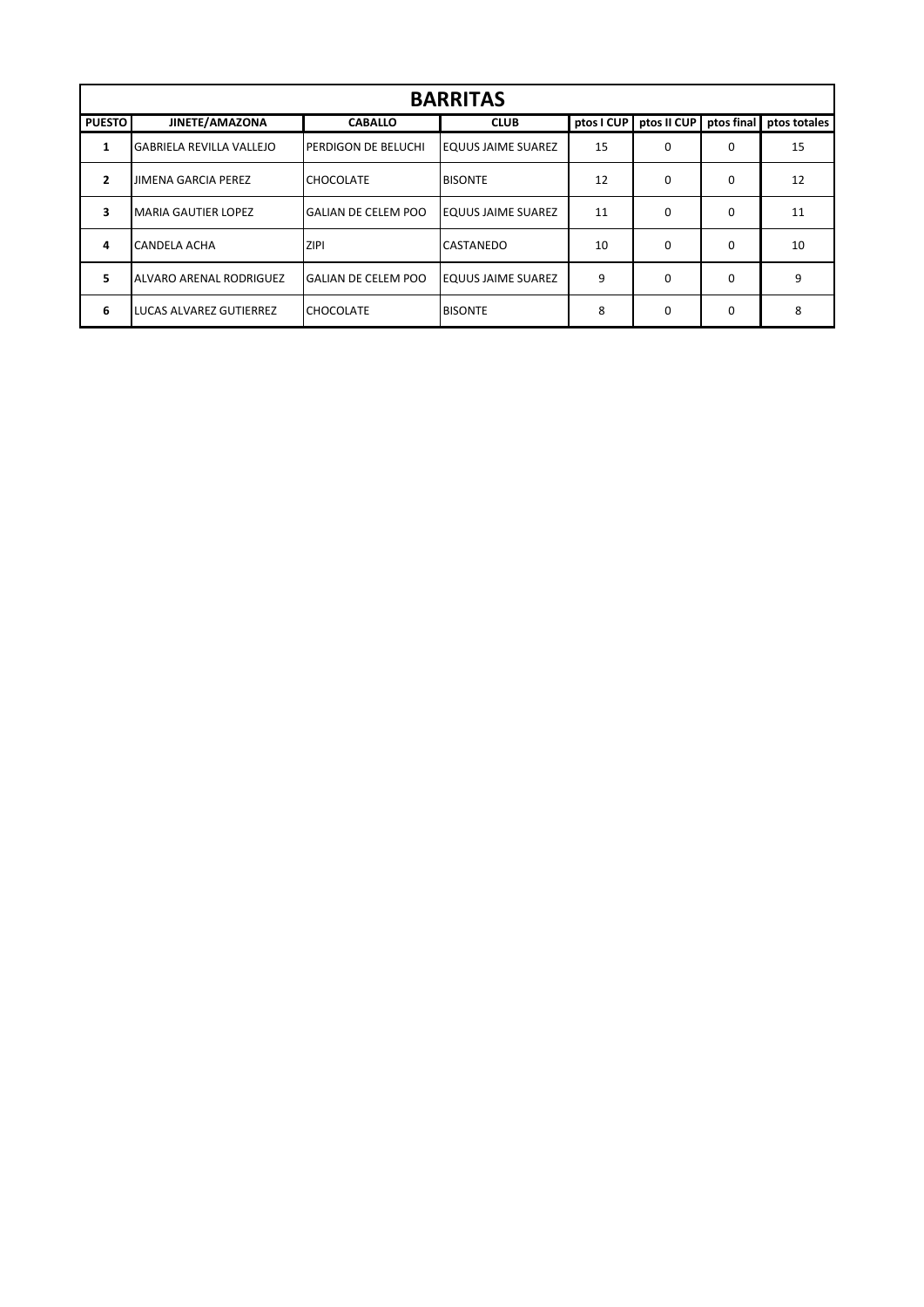| <b>BARRITAS</b> |                                 |                            |                           |            |             |            |              |  |  |
|-----------------|---------------------------------|----------------------------|---------------------------|------------|-------------|------------|--------------|--|--|
| <b>PUESTO</b>   | JINETE/AMAZONA                  | <b>CABALLO</b>             | <b>CLUB</b>               | ptos I CUP | ptos II CUP | ptos final | ptos totales |  |  |
| 1               | <b>GABRIELA REVILLA VALLEJO</b> | PERDIGON DE BELUCHI        | <b>EQUUS JAIME SUAREZ</b> | 15         | 0           | 0          | 15           |  |  |
| $\overline{2}$  | <b>JIMENA GARCIA PEREZ</b>      | <b>CHOCOLATE</b>           | <b>BISONTE</b>            | 12         | 0           | 0          | 12           |  |  |
| 3               | <b>MARIA GAUTIER LOPEZ</b>      | <b>GALIAN DE CELEM POO</b> | <b>EQUUS JAIME SUAREZ</b> | 11         | $\mathbf 0$ | 0          | 11           |  |  |
| 4               | CANDELA ACHA                    | <b>ZIPI</b>                | CASTANEDO                 | 10         | 0           | 0          | 10           |  |  |
| 5.              | ALVARO ARENAL RODRIGUEZ         | <b>GALIAN DE CELEM POO</b> | <b>EQUUS JAIME SUAREZ</b> | 9          | $\Omega$    | $\Omega$   | 9            |  |  |
| 6               | <b>LUCAS ALVAREZ GUTIERREZ</b>  | <b>CHOCOLATE</b>           | <b>BISONTE</b>            | 8          | $\Omega$    | $\Omega$   | 8            |  |  |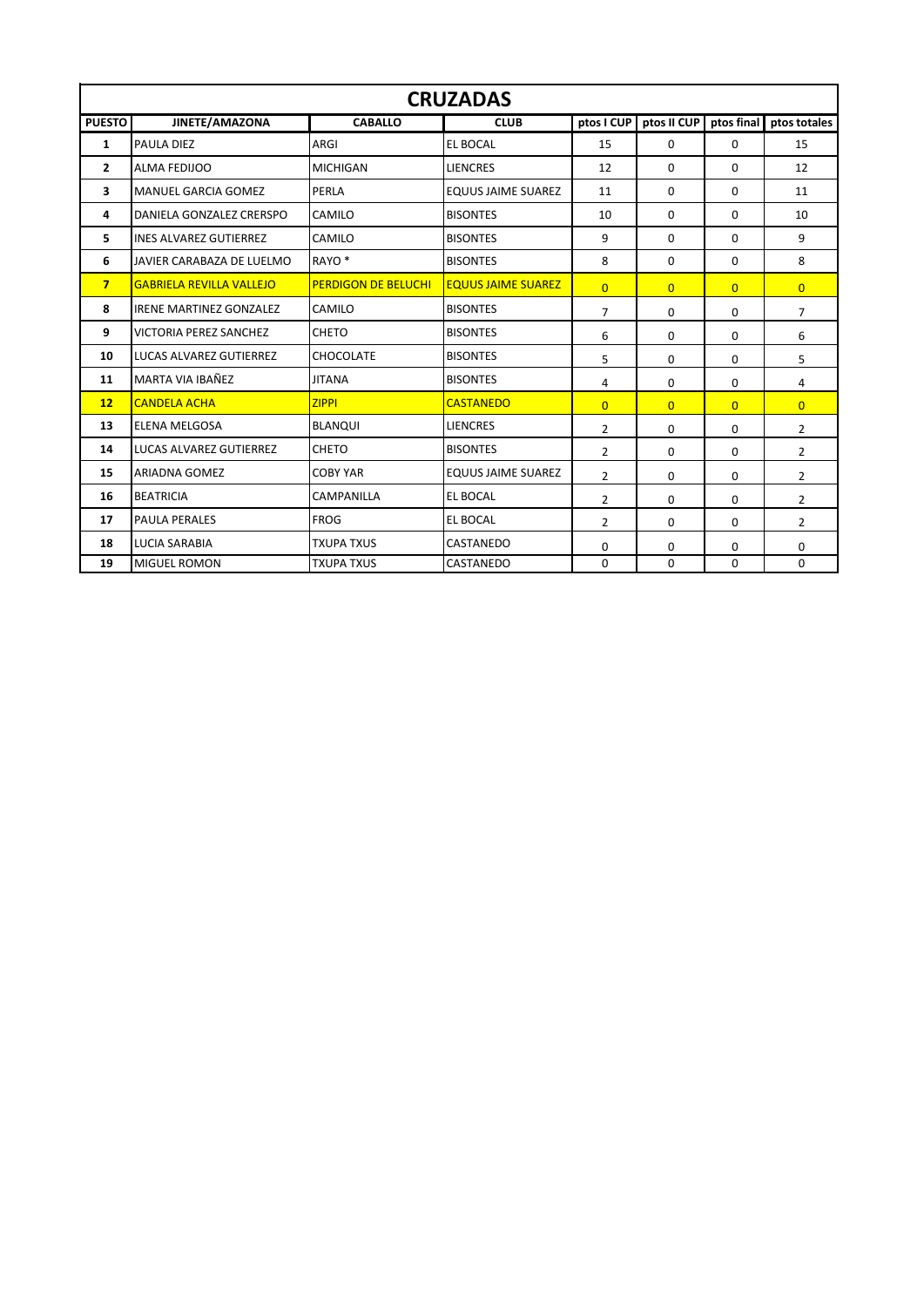| <b>CRUZADAS</b> |                                 |                            |                           |                |                |                |                         |  |  |
|-----------------|---------------------------------|----------------------------|---------------------------|----------------|----------------|----------------|-------------------------|--|--|
| <b>PUESTO</b>   | JINETE/AMAZONA                  | <b>CABALLO</b>             | <b>CLUB</b>               | ptos I CUP     | ptos II CUP    |                | ptos final ptos totales |  |  |
| 1               | PAULA DIEZ                      | ARGI                       | <b>EL BOCAL</b>           | 15             | $\Omega$       | $\Omega$       | 15                      |  |  |
| $\mathbf{2}$    | <b>ALMA FEDIJOO</b>             | <b>MICHIGAN</b>            | <b>LIENCRES</b>           | 12             | 0              | 0              | 12                      |  |  |
| 3               | <b>MANUEL GARCIA GOMEZ</b>      | PERLA                      | <b>EQUUS JAIME SUAREZ</b> | 11             | 0              | $\Omega$       | 11                      |  |  |
| 4               | DANIELA GONZALEZ CRERSPO        | CAMILO                     | <b>BISONTES</b>           | 10             | 0              | $\Omega$       | 10                      |  |  |
| 5.              | <b>INES ALVAREZ GUTIERREZ</b>   | CAMILO                     | <b>BISONTES</b>           | 9              | 0              | $\Omega$       | 9                       |  |  |
| 6               | JAVIER CARABAZA DE LUELMO       | RAYO <sup>*</sup>          | <b>BISONTES</b>           | 8              | 0              | $\Omega$       | 8                       |  |  |
| $7\overline{ }$ | <b>GABRIELA REVILLA VALLEJO</b> | <b>PERDIGON DE BELUCHI</b> | <b>EQUUS JAIME SUAREZ</b> | $\overline{0}$ | $\overline{0}$ | $\overline{0}$ | $\overline{0}$          |  |  |
| 8               | <b>IRENE MARTINEZ GONZALEZ</b>  | CAMILO                     | <b>BISONTES</b>           | $\overline{7}$ | 0              | $\Omega$       | $\overline{7}$          |  |  |
| 9               | <b>VICTORIA PEREZ SANCHEZ</b>   | <b>CHETO</b>               | <b>BISONTES</b>           | 6              | $\Omega$       | $\Omega$       | 6                       |  |  |
| 10              | <b>LUCAS ALVAREZ GUTIERREZ</b>  | <b>CHOCOLATE</b>           | <b>BISONTES</b>           | 5              | 0              | $\Omega$       | 5                       |  |  |
| 11              | MARTA VIA IBAÑEZ                | <b>JITANA</b>              | <b>BISONTES</b>           | 4              | 0              | $\Omega$       | 4                       |  |  |
| 12              | <b>CANDELA ACHA</b>             | <b>ZIPPI</b>               | <b>CASTANEDO</b>          | $\overline{0}$ | $\overline{0}$ | $\overline{0}$ | $\overline{0}$          |  |  |
| 13              | <b>ELENA MELGOSA</b>            | <b>BLANQUI</b>             | <b>LIENCRES</b>           | $\overline{2}$ | $\Omega$       | $\Omega$       | $\overline{2}$          |  |  |
| 14              | LUCAS ALVAREZ GUTIERREZ         | <b>CHETO</b>               | <b>BISONTES</b>           | $\overline{2}$ | 0              | 0              | $\overline{2}$          |  |  |
| 15              | <b>ARIADNA GOMEZ</b>            | <b>COBY YAR</b>            | <b>EQUUS JAIME SUAREZ</b> | $\overline{2}$ | 0              | $\Omega$       | $\overline{2}$          |  |  |
| 16              | <b>BEATRICIA</b>                | CAMPANILLA                 | <b>EL BOCAL</b>           | $\overline{2}$ | 0              | 0              | 2                       |  |  |
| 17              | PAULA PERALES                   | <b>FROG</b>                | <b>EL BOCAL</b>           | $\overline{2}$ | 0              | $\Omega$       | $\overline{2}$          |  |  |
| 18              | <b>LUCIA SARABIA</b>            | <b>TXUPA TXUS</b>          | CASTANEDO                 | $\Omega$       | 0              | $\Omega$       | 0                       |  |  |
| 19              | <b>MIGUEL ROMON</b>             | <b>TXUPA TXUS</b>          | CASTANEDO                 | $\Omega$       | $\Omega$       | $\Omega$       | 0                       |  |  |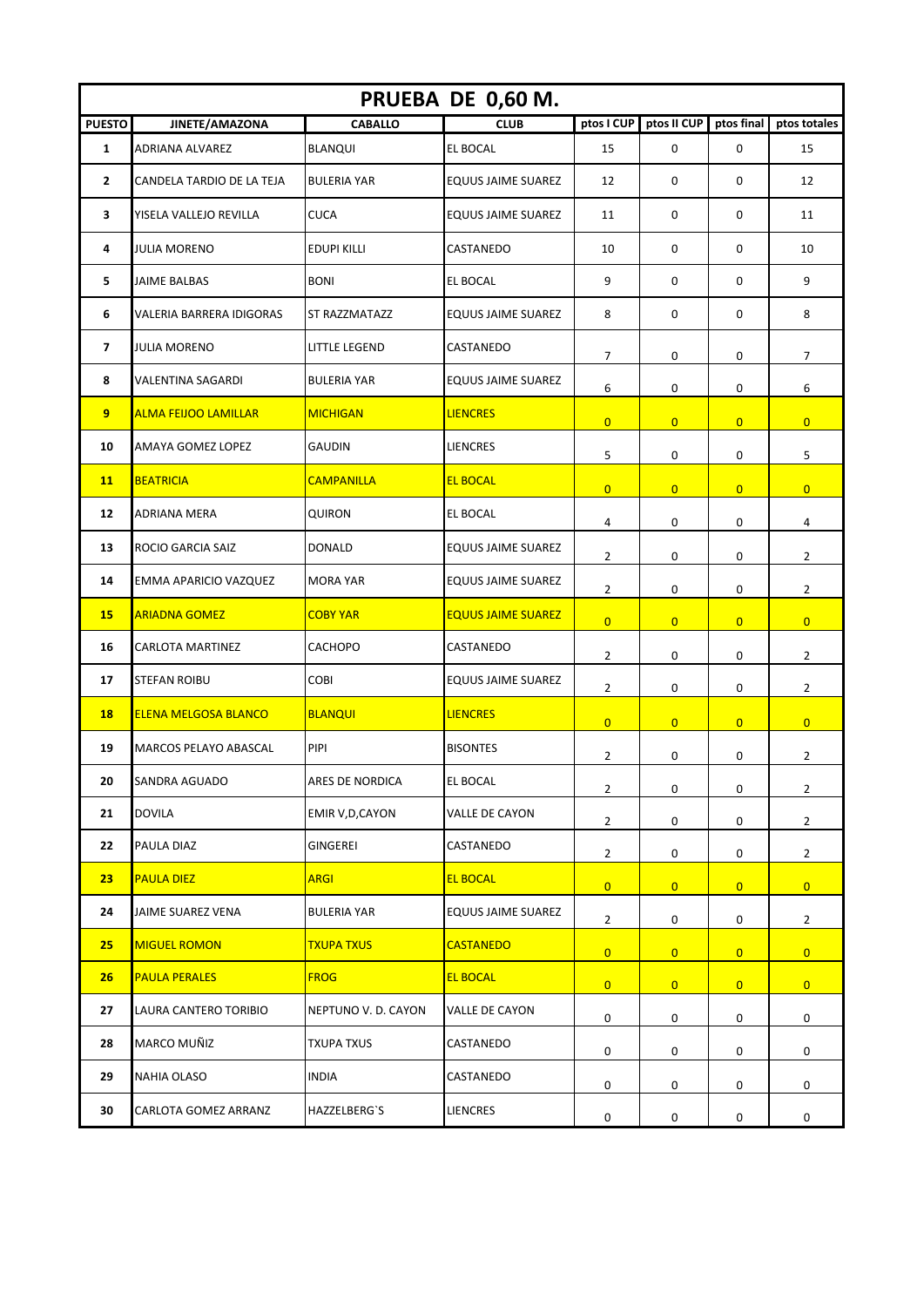| PRUEBA DE 0,60 M. |                              |                         |                           |                |                |                  |                |  |  |
|-------------------|------------------------------|-------------------------|---------------------------|----------------|----------------|------------------|----------------|--|--|
| <b>PUESTO</b>     | JINETE/AMAZONA               | <b>CABALLO</b>          | <b>CLUB</b>               | ptos I CUP     | ptos II CUP    | ptos final       | ptos totales   |  |  |
| $\mathbf{1}$      | <b>ADRIANA ALVAREZ</b>       | <b>BLANQUI</b>          | EL BOCAL                  | 15             | 0              | $\mathbf 0$      | 15             |  |  |
| $\mathbf{2}$      | CANDELA TARDIO DE LA TEJA    | <b>BULERIA YAR</b>      | <b>EQUUS JAIME SUAREZ</b> | 12             | 0              | $\mathbf 0$      | 12             |  |  |
| 3                 | YISELA VALLEJO REVILLA       | <b>CUCA</b>             | EQUUS JAIME SUAREZ        | 11             | 0              | 0                | 11             |  |  |
| 4                 | <b>JULIA MORENO</b>          | <b>EDUPI KILLI</b>      | CASTANEDO                 | 10             | 0              | 0                | 10             |  |  |
| 5                 | <b>JAIME BALBAS</b>          | <b>BONI</b>             | EL BOCAL                  | 9              | 0              | 0                | 9              |  |  |
| 6                 | VALERIA BARRERA IDIGORAS     | ST RAZZMATAZZ           | <b>EQUUS JAIME SUAREZ</b> | 8              | 0              | 0                | 8              |  |  |
| 7                 | <b>JULIA MORENO</b>          | LITTLE LEGEND           | CASTANEDO                 | 7              | 0              | 0                | 7              |  |  |
| 8                 | <b>VALENTINA SAGARDI</b>     | <b>BULERIA YAR</b>      | <b>EQUUS JAIME SUAREZ</b> | 6              | 0              | 0                | 6              |  |  |
| 9                 | <b>ALMA FEIJOO LAMILLAR</b>  | <b>MICHIGAN</b>         | <b>LIENCRES</b>           | $\overline{0}$ | $\overline{0}$ | $\overline{0}$   | $\overline{0}$ |  |  |
| 10                | AMAYA GOMEZ LOPEZ            | <b>GAUDIN</b>           | LIENCRES                  | 5              | 0              | 0                | 5              |  |  |
| <b>11</b>         | <b>BEATRICIA</b>             | <b>CAMPANILLA</b>       | <b>EL BOCAL</b>           | $\overline{0}$ | $\overline{0}$ | $\overline{0}$   | $\overline{0}$ |  |  |
| 12                | <b>ADRIANA MERA</b>          | QUIRON                  | EL BOCAL                  | 4              | 0              | 0                | 4              |  |  |
| 13                | ROCIO GARCIA SAIZ            | <b>DONALD</b>           | EQUUS JAIME SUAREZ        | 2              | 0              | 0                | 2              |  |  |
| 14                | EMMA APARICIO VAZQUEZ        | <b>MORA YAR</b>         | <b>EQUUS JAIME SUAREZ</b> | 2              | 0              | 0                | $\overline{2}$ |  |  |
| <b>15</b>         | <b>ARIADNA GOMEZ</b>         | <b>COBY YAR</b>         | <b>EQUUS JAIME SUAREZ</b> | $\overline{0}$ | $\overline{0}$ | $\overline{0}$   | $\overline{0}$ |  |  |
| 16                | CARLOTA MARTINEZ             | CACHOPO                 | CASTANEDO                 | $\overline{2}$ | 0              | 0                | $\overline{2}$ |  |  |
| 17                | <b>STEFAN ROIBU</b>          | COBI                    | EQUUS JAIME SUAREZ        | 2              | 0              | 0                | 2              |  |  |
| <b>18</b>         | <b>ELENA MELGOSA BLANCO</b>  | <b>BLANQUI</b>          | <b>LIENCRES</b>           | $\overline{0}$ | $\overline{0}$ | $\overline{0}$   | $\overline{0}$ |  |  |
| 19                | <b>MARCOS PELAYO ABASCAL</b> | PIPI                    | <b>BISONTES</b>           | 2              | 0              | $\pmb{0}$        | $\overline{2}$ |  |  |
| 20                | SANDRA AGUADO                | ARES DE NORDICA         | EL BOCAL                  | $\overline{2}$ | 0              | 0                | $\overline{2}$ |  |  |
| 21                | <b>DOVILA</b>                | <b>EMIR V, D, CAYON</b> | VALLE DE CAYON            | $\overline{2}$ | 0              | $\boldsymbol{0}$ | $\overline{2}$ |  |  |
| 22                | PAULA DIAZ                   | GINGEREI                | CASTANEDO                 | $\overline{2}$ | 0              | 0                | $\overline{2}$ |  |  |
| 23                | <b>PAULA DIEZ</b>            | <b>ARGI</b>             | <b>EL BOCAL</b>           | $\overline{0}$ | $\overline{0}$ | $\overline{0}$   | $\overline{0}$ |  |  |
| 24                | JAIME SUAREZ VENA            | <b>BULERIA YAR</b>      | EQUUS JAIME SUAREZ        | $\overline{2}$ | 0              | 0                | $\overline{2}$ |  |  |
| 25                | <b>MIGUEL ROMON</b>          | <b>TXUPA TXUS</b>       | <b>CASTANEDO</b>          | $\overline{0}$ | $\overline{0}$ | $\overline{0}$   | $\overline{0}$ |  |  |
| 26                | <b>PAULA PERALES</b>         | <b>FROG</b>             | <b>EL BOCAL</b>           | $\overline{0}$ | $\overline{0}$ | $\overline{0}$   | $\overline{0}$ |  |  |
| 27                | LAURA CANTERO TORIBIO        | NEPTUNO V. D. CAYON     | VALLE DE CAYON            | 0              | 0              | 0                | 0              |  |  |
| 28                | MARCO MUÑIZ                  | TXUPA TXUS              | CASTANEDO                 | 0              | 0              | 0                | 0              |  |  |
| 29                | NAHIA OLASO                  | <b>INDIA</b>            | CASTANEDO                 | 0              | 0              | 0                | 0              |  |  |
| 30                | CARLOTA GOMEZ ARRANZ         | HAZZELBERG'S            | <b>LIENCRES</b>           | 0              | 0              | 0                | 0              |  |  |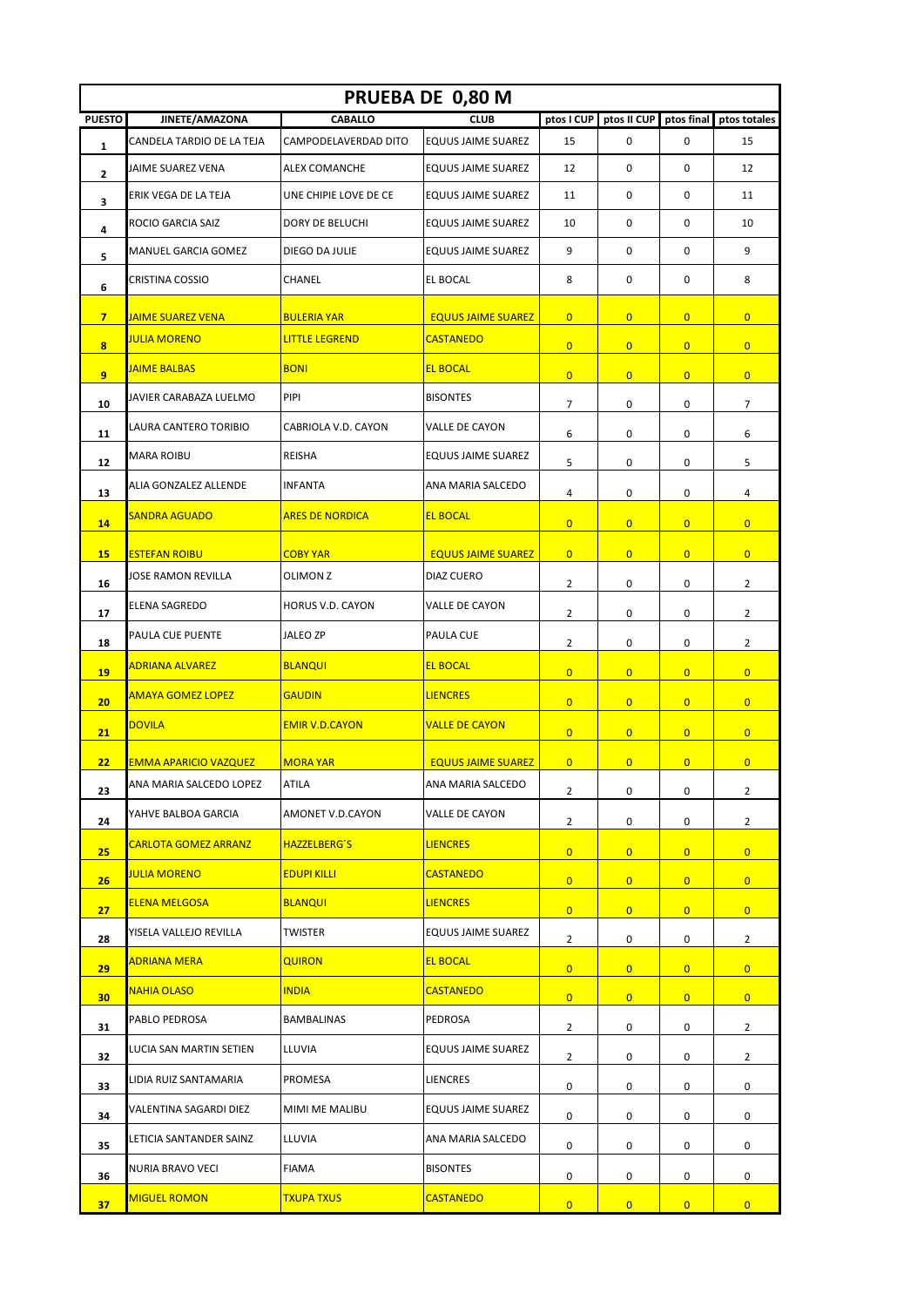| PRUEBA DE 0,80 M        |                              |                        |                           |                |                |                |                         |  |  |
|-------------------------|------------------------------|------------------------|---------------------------|----------------|----------------|----------------|-------------------------|--|--|
| <b>PUESTO</b>           | JINETE/AMAZONA               | <b>CABALLO</b>         | <b>CLUB</b>               | ptos I CUP     | ptos II CUP    | ptos final     | ptos totales            |  |  |
| 1                       | CANDELA TARDIO DE LA TEJA    | CAMPODELAVERDAD DITO   | <b>EQUUS JAIME SUAREZ</b> | 15             | $\mathbf 0$    | 0              | 15                      |  |  |
| 2                       | JAIME SUAREZ VENA            | <b>ALEX COMANCHE</b>   | <b>EQUUS JAIME SUAREZ</b> | 12             | $\mathbf 0$    | $\mathbf 0$    | 12                      |  |  |
| 3                       | ERIK VEGA DE LA TEJA         | UNE CHIPIE LOVE DE CE  | <b>EQUUS JAIME SUAREZ</b> | 11             | $\mathbf 0$    | 0              | 11                      |  |  |
| 4                       | ROCIO GARCIA SAIZ            | DORY DE BELUCHI        | <b>EQUUS JAIME SUAREZ</b> | 10             | $\mathbf 0$    | $\mathbf 0$    | 10                      |  |  |
| 5                       | <b>MANUEL GARCIA GOMEZ</b>   | DIEGO DA JULIE         | EQUUS JAIME SUAREZ        | 9              | $\mathbf 0$    | 0              | 9                       |  |  |
| 6                       | CRISTINA COSSIO              | CHANEL                 | EL BOCAL                  | 8              | 0              | 0              | 8                       |  |  |
| 7 <sup>7</sup>          | <b>JAIME SUAREZ VENA</b>     | <b>BULERIA YAR</b>     | <b>EQUUS JAIME SUAREZ</b> | $\overline{0}$ | $\overline{0}$ | $\overline{0}$ | $\overline{0}$          |  |  |
| $\overline{\mathbf{8}}$ | <b>JULIA MORENO</b>          | <b>LITTLE LEGREND</b>  | <b>CASTANEDO</b>          | $\overline{0}$ | $\overline{0}$ | $\overline{0}$ | $\overline{0}$          |  |  |
| 9                       | <b>JAIME BALBAS</b>          | <b>BONI</b>            | <b>EL BOCAL</b>           | $\overline{0}$ | $\overline{0}$ | $\overline{0}$ | $\overline{0}$          |  |  |
| 10                      | JAVIER CARABAZA LUELMO       | PIPI                   | <b>BISONTES</b>           | $\overline{7}$ | 0              | 0              | $\overline{7}$          |  |  |
| 11                      | LAURA CANTERO TORIBIO        | CABRIOLA V.D. CAYON    | VALLE DE CAYON            | 6              | 0              | 0              | 6                       |  |  |
| 12                      | <b>MARA ROIBU</b>            | REISHA                 | <b>EQUUS JAIME SUAREZ</b> | 5              | 0              | 0              | 5                       |  |  |
| 13                      | ALIA GONZALEZ ALLENDE        | <b>INFANTA</b>         | ANA MARIA SALCEDO         | 4              | 0              | 0              | 4                       |  |  |
| 14                      | <b>SANDRA AGUADO</b>         | <b>ARES DE NORDICA</b> | <b>EL BOCAL</b>           | $\overline{0}$ | $\overline{0}$ | $\overline{0}$ | $\overline{0}$          |  |  |
| 15                      | <b>ESTEFAN ROIBU</b>         | <b>COBY YAR</b>        | <b>EQUUS JAIME SUAREZ</b> | $\overline{0}$ | $\overline{0}$ | $\overline{0}$ | $\overline{0}$          |  |  |
| 16                      | JOSE RAMON REVILLA           | OLIMON Z               | DIAZ CUERO                | $\overline{2}$ | 0              | 0              | $\overline{2}$          |  |  |
| 17                      | ELENA SAGREDO                | HORUS V.D. CAYON       | VALLE DE CAYON            | $\overline{2}$ | 0              | 0              | $\overline{2}$          |  |  |
| 18                      | PAULA CUE PUENTE             | JALEO ZP               | PAULA CUE                 | 2              | 0              | 0              | $\overline{\mathbf{c}}$ |  |  |
| 19                      | <b>ADRIANA ALVAREZ</b>       | <b>BLANQUI</b>         | <b>EL BOCAL</b>           | $\overline{0}$ | $\overline{0}$ | $\overline{0}$ | $\overline{0}$          |  |  |
| 20                      | <b>AMAYA GOMEZ LOPEZ</b>     | <b>GAUDIN</b>          | <b>LIENCRES</b>           | $\overline{0}$ | $\overline{0}$ | $\overline{0}$ | $\overline{0}$          |  |  |
| 21                      | <b>DOVILA</b>                | <b>EMIR V.D.CAYON</b>  | <b>VALLE DE CAYON</b>     | $\overline{0}$ | $\overline{0}$ | $\overline{0}$ | $\overline{0}$          |  |  |
| 22                      | <b>EMMA APARICIO VAZQUEZ</b> | <b>MORA YAR</b>        | <b>EQUUS JAIME SUAREZ</b> | $\overline{0}$ | $\overline{0}$ | $\overline{0}$ | $\overline{0}$          |  |  |
| 23                      | ANA MARIA SALCEDO LOPEZ      | ATILA                  | ANA MARIA SALCEDO         | $\overline{2}$ | 0              | 0              | $\overline{2}$          |  |  |
| 24                      | YAHVE BALBOA GARCIA          | AMONET V.D.CAYON       | VALLE DE CAYON            | $\overline{2}$ | 0              | 0              | $\overline{2}$          |  |  |
| 25                      | <b>CARLOTA GOMEZ ARRANZ</b>  | <b>HAZZELBERG'S</b>    | <b>LIENCRES</b>           | $\overline{0}$ | $\overline{0}$ | $\overline{0}$ | $\overline{0}$          |  |  |
| 26                      | <b>JULIA MORENO</b>          | <b>EDUPI KILLI</b>     | <b>CASTANEDO</b>          | $\overline{0}$ | $\overline{0}$ | $\overline{0}$ | $\overline{0}$          |  |  |
| 27                      | <b>ELENA MELGOSA</b>         | <b>BLANQUI</b>         | <b>LIENCRES</b>           | $\overline{0}$ | $\overline{0}$ | $\overline{0}$ | $\overline{0}$          |  |  |
| 28                      | YISELA VALLEJO REVILLA       | TWISTER                | <b>EQUUS JAIME SUAREZ</b> | $\overline{2}$ | 0              | 0              | $\overline{2}$          |  |  |
| 29                      | ADRIANA MERA                 | <b>QUIRON</b>          | <b>EL BOCAL</b>           | $\overline{0}$ | $\overline{0}$ | $\overline{0}$ | $\overline{0}$          |  |  |
| 30 <sub>2</sub>         | <b>NAHIA OLASO</b>           | <b>INDIA</b>           | <b>CASTANEDO</b>          | $\overline{0}$ | $\overline{0}$ | $\overline{0}$ | $\overline{0}$          |  |  |
| 31                      | PABLO PEDROSA                | BAMBALINAS             | PEDROSA                   | $\overline{2}$ | 0              | 0              | $\overline{2}$          |  |  |
| 32                      | LUCIA SAN MARTIN SETIEN      | LLUVIA                 | <b>EQUUS JAIME SUAREZ</b> | $\overline{2}$ | 0              | 0              | $\overline{2}$          |  |  |
| 33                      | LIDIA RUIZ SANTAMARIA        | PROMESA                | LIENCRES                  | 0              | 0              | 0              | 0                       |  |  |
| 34                      | VALENTINA SAGARDI DIEZ       | MIMI ME MALIBU         | EQUUS JAIME SUAREZ        | 0              | 0              | 0              | 0                       |  |  |
| 35                      | LETICIA SANTANDER SAINZ      | LLUVIA                 | ANA MARIA SALCEDO         | 0              | 0              | 0              | 0                       |  |  |
| 36                      | NURIA BRAVO VECI             | <b>FIAMA</b>           | <b>BISONTES</b>           | 0              | 0              | 0              | 0                       |  |  |
| 37                      | <b>MIGUEL ROMON</b>          | <b>TXUPA TXUS</b>      | <b>CASTANEDO</b>          | $\overline{0}$ | $\overline{0}$ | $\overline{0}$ | $\overline{0}$          |  |  |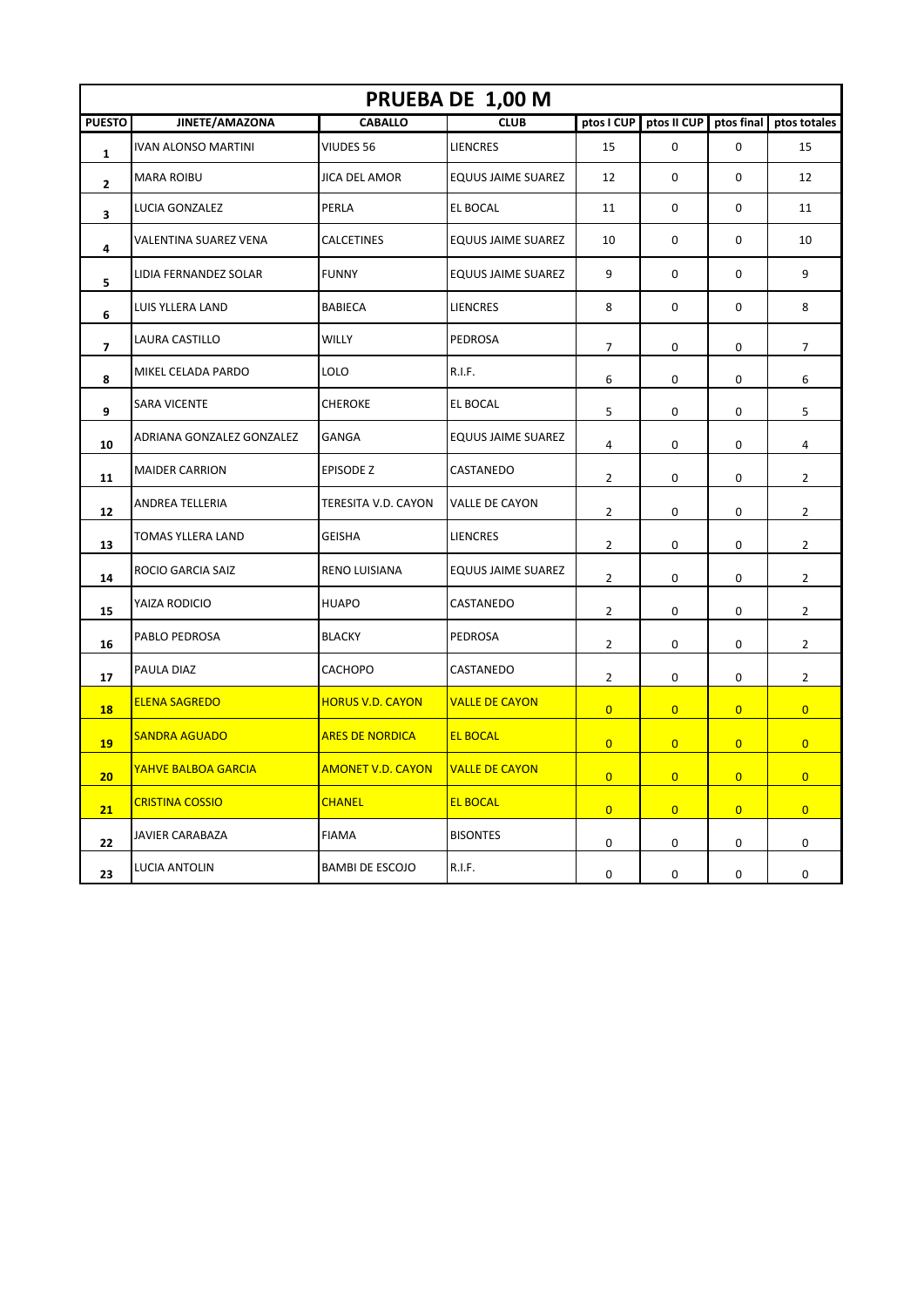| PRUEBA DE 1,00 M |                            |                          |                           |                |                |                |                |  |
|------------------|----------------------------|--------------------------|---------------------------|----------------|----------------|----------------|----------------|--|
| <b>PUESTO</b>    | JINETE/AMAZONA             | <b>CABALLO</b>           | <b>CLUB</b>               | ptos I CUP     | ptos II CUP    | ptos final     | ptos totales   |  |
| $\mathbf{1}$     | <b>IVAN ALONSO MARTINI</b> | VIUDES 56                | <b>LIENCRES</b>           | 15             | 0              | 0              | 15             |  |
| $\mathbf{z}$     | <b>MARA ROIBU</b>          | JICA DEL AMOR            | <b>EQUUS JAIME SUAREZ</b> | 12             | 0              | 0              | 12             |  |
| 3                | LUCIA GONZALEZ             | PERLA                    | EL BOCAL                  | 11             | 0              | 0              | 11             |  |
| 4                | VALENTINA SUAREZ VENA      | CALCETINES               | <b>EQUUS JAIME SUAREZ</b> | 10             | 0              | 0              | 10             |  |
| 5                | LIDIA FERNANDEZ SOLAR      | <b>FUNNY</b>             | <b>EQUUS JAIME SUAREZ</b> | 9              | 0              | $\mathbf 0$    | 9              |  |
| 6                | LUIS YLLERA LAND           | <b>BABIECA</b>           | <b>LIENCRES</b>           | 8              | 0              | $\mathbf 0$    | 8              |  |
| 7                | LAURA CASTILLO             | <b>WILLY</b>             | <b>PEDROSA</b>            | 7              | 0              | 0              | 7              |  |
| 8                | MIKEL CELADA PARDO         | LOLO                     | R.I.F.                    | 6              | 0              | 0              | 6              |  |
| 9                | <b>SARA VICENTE</b>        | <b>CHEROKE</b>           | EL BOCAL                  | 5              | 0              | 0              | 5              |  |
| 10               | ADRIANA GONZALEZ GONZALEZ  | GANGA                    | EQUUS JAIME SUAREZ        | 4              | 0              | 0              | 4              |  |
| 11               | <b>MAIDER CARRION</b>      | EPISODE Z                | CASTANEDO                 | 2              | 0              | 0              | 2              |  |
| 12               | ANDREA TELLERIA            | TERESITA V.D. CAYON      | <b>VALLE DE CAYON</b>     | $\overline{2}$ | 0              | $\mathbf 0$    | $\overline{2}$ |  |
| 13               | TOMAS YLLERA LAND          | <b>GEISHA</b>            | <b>LIENCRES</b>           | 2              | 0              | 0              | 2              |  |
| 14               | ROCIO GARCIA SAIZ          | RENO LUISIANA            | <b>EQUUS JAIME SUAREZ</b> | $\overline{2}$ | 0              | $\mathbf 0$    | $\overline{2}$ |  |
| 15               | YAIZA RODICIO              | <b>HUAPO</b>             | CASTANEDO                 | 2              | 0              | 0              | $\overline{2}$ |  |
| 16               | PABLO PEDROSA              | <b>BLACKY</b>            | PEDROSA                   | $\overline{2}$ | 0              | 0              | $\overline{2}$ |  |
| 17               | PAULA DIAZ                 | CACHOPO                  | CASTANEDO                 | $\overline{2}$ | 0              | 0              | $\overline{2}$ |  |
| <b>18</b>        | <b>ELENA SAGREDO</b>       | <b>HORUS V.D. CAYON</b>  | <b>VALLE DE CAYON</b>     | $\overline{0}$ | $\overline{0}$ | $\overline{0}$ | $\overline{0}$ |  |
| 19               | <b>SANDRA AGUADO</b>       | <b>ARES DE NORDICA</b>   | <b>EL BOCAL</b>           | $\overline{0}$ | $\overline{0}$ | $\overline{0}$ | $\overline{0}$ |  |
| 20               | <b>YAHVE BALBOA GARCIA</b> | <b>AMONET V.D. CAYON</b> | <b>VALLE DE CAYON</b>     | $\overline{0}$ | $\overline{0}$ | $\overline{0}$ | $\overline{0}$ |  |
| 21               | <b>CRISTINA COSSIO</b>     | <b>CHANEL</b>            | <b>EL BOCAL</b>           | $\overline{0}$ | $\overline{0}$ | $\overline{0}$ | $\overline{0}$ |  |
| 22               | <b>JAVIER CARABAZA</b>     | <b>FIAMA</b>             | <b>BISONTES</b>           | 0              | 0              | 0              | 0              |  |
| 23               | LUCIA ANTOLIN              | <b>BAMBI DE ESCOJO</b>   | R.I.F.                    | 0              | 0              | $\mathbf 0$    | 0              |  |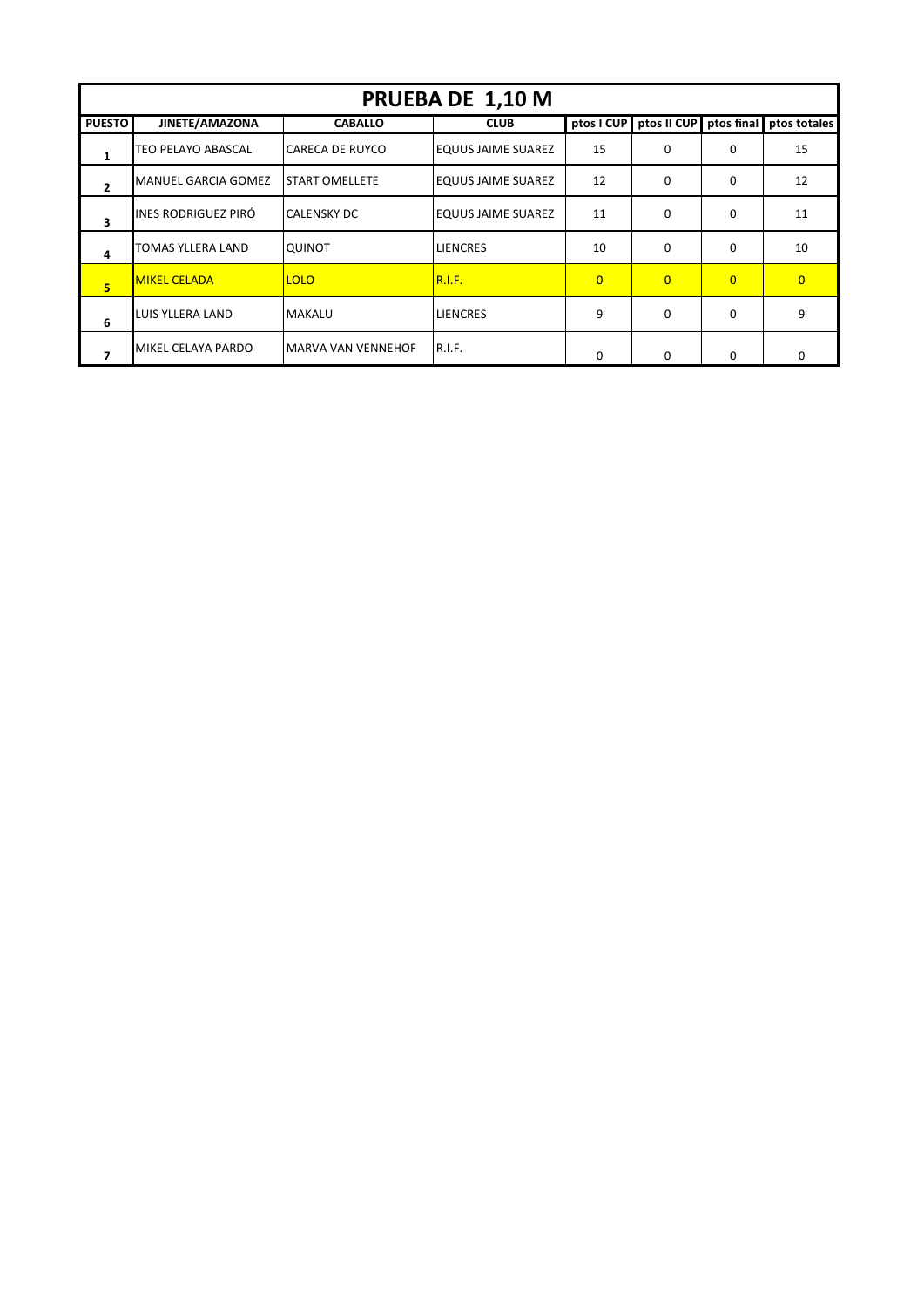| PRUEBA DE 1,10 M |                           |                        |                           |          |                        |          |                         |  |  |  |
|------------------|---------------------------|------------------------|---------------------------|----------|------------------------|----------|-------------------------|--|--|--|
| <b>PUESTO</b>    | JINETE/AMAZONA            | <b>CABALLO</b>         | <b>CLUB</b>               |          | ptos I CUP ptos II CUP |          | ptos final ptos totales |  |  |  |
| 1                | <b>TEO PELAYO ABASCAL</b> | <b>CARECA DE RUYCO</b> | <b>EQUUS JAIME SUAREZ</b> | 15       | $\Omega$               | 0        | 15                      |  |  |  |
| $\overline{2}$   | MANUEL GARCIA GOMEZ       | <b>START OMELLETE</b>  | <b>EQUUS JAIME SUAREZ</b> | 12       | $\Omega$               | 0        | 12                      |  |  |  |
| 3                | INES RODRIGUEZ PIRÓ       | <b>CALENSKY DC</b>     | <b>EQUUS JAIME SUAREZ</b> | 11       | $\Omega$               | $\Omega$ | 11                      |  |  |  |
| 4                | <b>TOMAS YLLERA LAND</b>  | <b>QUINOT</b>          | <b>LIENCRES</b>           | 10       | $\Omega$               | 0        | 10                      |  |  |  |
| 5                | <b>MIKEL CELADA</b>       | <b>LOLO</b>            | <b>R.I.F.</b>             | $\Omega$ | $\overline{0}$         | $\Omega$ | $\Omega$                |  |  |  |
| 6                | LUIS YLLERA LAND          | <b>MAKALU</b>          | LIENCRES                  | 9        | $\Omega$               | $\Omega$ | 9                       |  |  |  |
|                  | MIKEL CELAYA PARDO        | MARVA VAN VENNEHOF     | R.I.F.                    | $\Omega$ | $\Omega$               | $\Omega$ | O                       |  |  |  |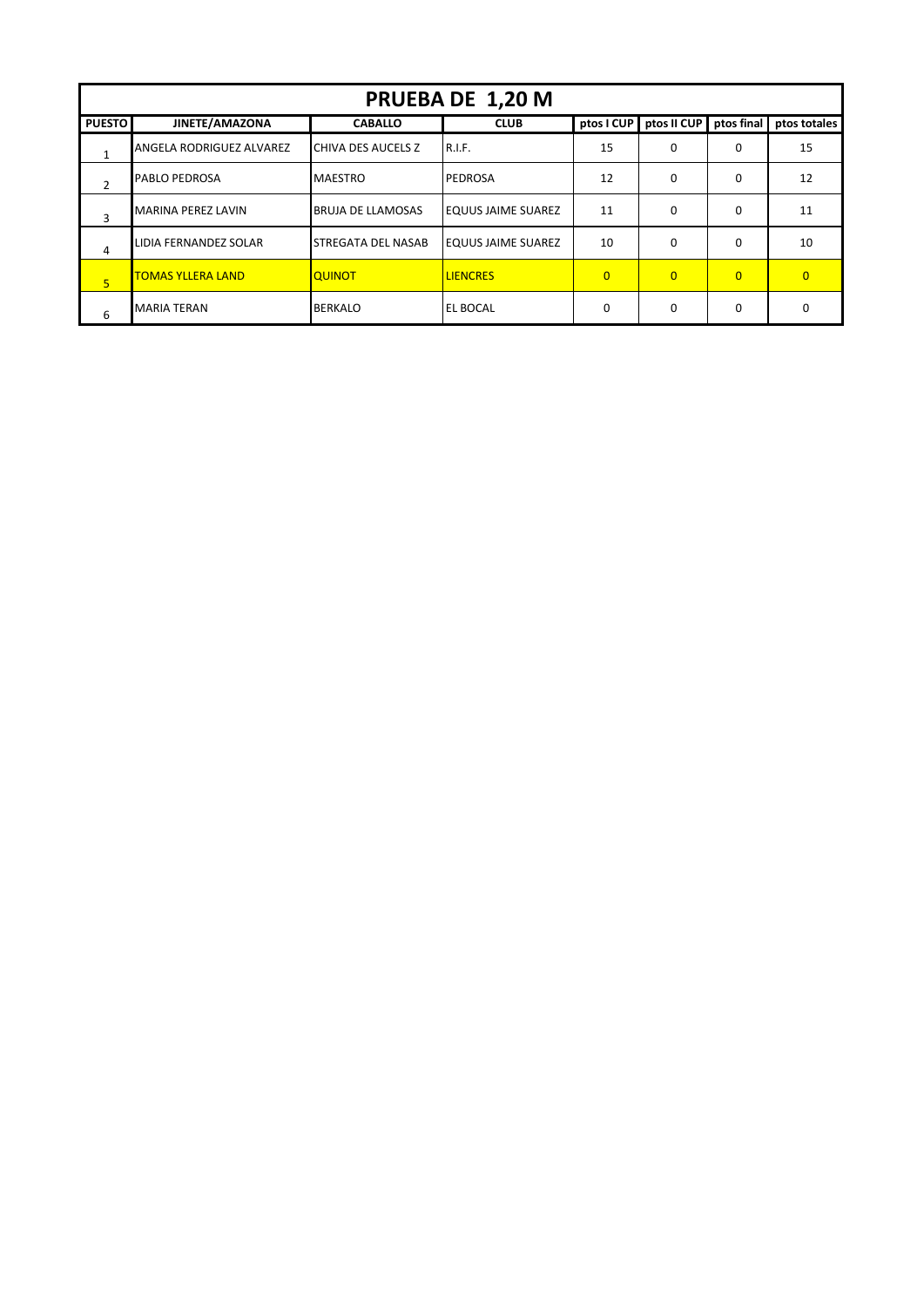| PRUEBA DE 1,20 M |                           |                          |                           |                |                |                |              |  |  |
|------------------|---------------------------|--------------------------|---------------------------|----------------|----------------|----------------|--------------|--|--|
| <b>PUESTO</b>    | JINETE/AMAZONA            | <b>CABALLO</b>           | <b>CLUB</b>               | ptos I CUP     | ptos II CUP    | ptos final     | ptos totales |  |  |
| 1                | ANGELA RODRIGUEZ ALVAREZ  | CHIVA DES AUCELS Z       | <b>R.I.F.</b>             | 15             | 0              | $\Omega$       | 15           |  |  |
| 2                | <b>PABLO PEDROSA</b>      | <b>MAESTRO</b>           | PEDROSA                   | 12             | 0              | 0              | 12           |  |  |
| 3                | <b>MARINA PEREZ LAVIN</b> | <b>BRUJA DE LLAMOSAS</b> | <b>EQUUS JAIME SUAREZ</b> | 11             | 0              | $\Omega$       | 11           |  |  |
| 4                | LIDIA FERNANDEZ SOLAR     | STREGATA DEL NASAB       | <b>EQUUS JAIME SUAREZ</b> | 10             | 0              | $\Omega$       | 10           |  |  |
| 5 <sup>5</sup>   | <b>TOMAS YLLERA LAND</b>  | <b>QUINOT</b>            | <b>LIENCRES</b>           | $\overline{0}$ | $\overline{0}$ | $\overline{0}$ | $\Omega$     |  |  |
| 6                | <b>MARIA TERAN</b>        | <b>BERKALO</b>           | EL BOCAL                  | $\Omega$       | $\Omega$       | $\Omega$       | <sup>0</sup> |  |  |